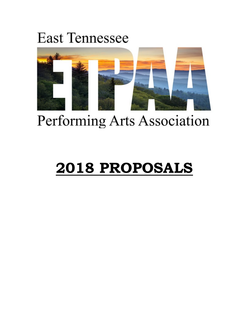# **East Tennessee**



# Performing Arts Association

# **2018 PROPOSALS**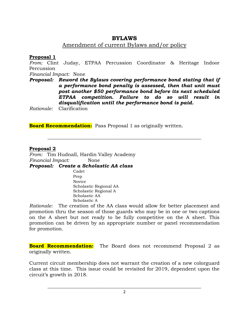# **BYLAWS**

## Amendment of current Bylaws and/or policy

#### **Proposal 1**

*From:* Clint Juday, ETPAA Percussion Coordinator & Heritage Indoor Percussion

*Financial Impact:* None

*Proposal: Reword the Bylaws covering performance bond stating that if a performance bond penalty is assessed, then that unit must post another \$50 performance bond before its next scheduled ETPAA competition. Failure to do so will result in disqualification until the performance bond is paid.*

**\_\_\_\_\_\_\_\_\_\_\_\_\_\_\_\_\_\_\_\_\_\_\_\_\_\_\_\_\_\_\_\_\_\_\_\_\_\_\_\_\_\_\_\_\_\_\_\_\_\_\_\_\_\_\_\_\_\_\_\_\_\_\_**

*Rationale:* Clarification

**Board Recommendation:** Pass Proposal 1 as originally written.

#### **Proposal 2**

*From:* Tim Hudnall, Hardin Valley Academy *Financial Impact:* None

*Proposal: Create a Scholastic AA class*

Cadet Prep Novice Scholastic Regional AA Scholastic Regional A Scholastic AA Scholastic A

*Rationale:* The creation of the AA class would allow for better placement and promotion thru the season of those guards who may be in one or two captions on the A sheet but not ready to be fully competitive on the A sheet. This promotion can be driven by an appropriate number or panel recommendation for promotion.

**Board Recommendation:** The Board does not recommend Proposal 2 as originally written.

Current circuit membership does not warrant the creation of a new colorguard class at this time. This issue could be revisited for 2019, dependent upon the circuit's growth in 2018.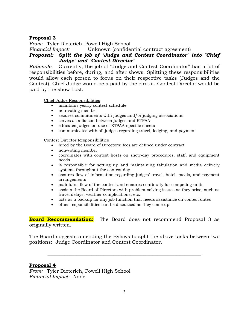#### **Proposal 3**

*From:* Tyler Dieterich, Powell High School

*Financial Impact:* Unknown (confidential contract agreement)

#### *Proposal: Split the job of "Judge and Contest Coordinator" into "Chief Judge" and "Contest Director"*

*Rationale:* Currently, the job of "Judge and Contest Coordinator" has a lot of responsibilities before, during, and after shows. Splitting these responsibilities would allow each person to focus on their respective tasks (Judges and the Contest). Chief Judge would be a paid by the circuit. Contest Director would be paid by the show host.

Chief Judge Responsibilities

- maintains yearly contest schedule
- non-voting member
- secures commitments with judges and/or judging associations
- serves as a liaison between judges and ETPAA
- educates judges on use of ETPAA-specific sheets
- communicates with all judges regarding travel, lodging, and payment

Contest Director Responsibilities

- hired by the Board of Directors; fees are defined under contract
- non-voting member
- coordinates with contest hosts on show-day procedures, staff, and equipment needs
- is responsible for setting up and maintaining tabulation and media delivery systems throughout the contest day
- assures flow of information regarding judges' travel, hotel, meals, and payment arrangements
- maintains flow of the contest and ensures continuity for competing units
- assists the Board of Directors with problem-solving issues as they arise, such as travel delays, weather complications, etc.
- acts as a backup for any job function that needs assistance on contest dates
- other responsibilities can be discussed as they come up

**Board Recommendation:** The Board does not recommend Proposal 3 as originally written.

The Board suggests amending the Bylaws to split the above tasks between two positions: Judge Coordinator and Contest Coordinator.

**\_\_\_\_\_\_\_\_\_\_\_\_\_\_\_\_\_\_\_\_\_\_\_\_\_\_\_\_\_\_\_\_\_\_\_\_\_\_\_\_\_\_\_\_\_\_\_\_\_\_\_\_\_\_\_\_\_\_\_\_\_\_\_**

#### **Proposal 4**

*From:* Tyler Dieterich, Powell High School *Financial Impact:* None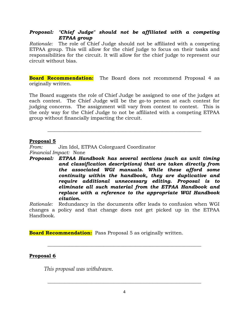#### *Proposal: "Chief Judge" should not be affiliated with a competing ETPAA group*

*Rationale:* The role of Chief Judge should not be affiliated with a competing ETPAA group. This will allow for the chief judge to focus on their tasks and responsibilities for the circuit. It will allow for the chief judge to represent our circuit without bias.

**Board Recommendation:** The Board does not recommend Proposal 4 as originally written.

The Board suggests the role of Chief Judge be assigned to one of the judges at each contest. The Chief Judge will be the go-to person at each contest for judging concerns. The assignment will vary from contest to contest. This is the only way for the Chief Judge to not be affiliated with a competing ETPAA group without financially impacting the circuit.

**\_\_\_\_\_\_\_\_\_\_\_\_\_\_\_\_\_\_\_\_\_\_\_\_\_\_\_\_\_\_\_\_\_\_\_\_\_\_\_\_\_\_\_\_\_\_\_\_\_\_\_\_\_\_\_\_\_\_\_\_\_\_\_**

#### **Proposal 5**

*From:* Jim Idol, ETPAA Colorguard Coordinator *Financial Impact:* None

*Proposal: ETPAA Handbook has several sections (such as unit timing and classification descriptions) that are taken directly from the associated WGI manuals. While these afford some continuity within the handbook, they are duplicative and require additional unnecessary editing. Proposal is to eliminate all such material from the ETPAA Handbook and replace with a reference to the appropriate WGI Handbook citation.*

*Rationale:* Redundancy in the documents offer leads to confusion when WGI changes a policy and that change does not get picked up in the ETPAA Handbook.

**\_\_\_\_\_\_\_\_\_\_\_\_\_\_\_\_\_\_\_\_\_\_\_\_\_\_\_\_\_\_\_\_\_\_\_\_\_\_\_\_\_\_\_\_\_\_\_\_\_\_\_\_\_\_\_\_\_\_\_\_\_\_\_**

**Board Recommendation:** Pass Proposal 5 as originally written.

#### **Proposal 6**

*This proposal was withdrawn.*

**\_\_\_\_\_\_\_\_\_\_\_\_\_\_\_\_\_\_\_\_\_\_\_\_\_\_\_\_\_\_\_\_\_\_\_\_\_\_\_\_\_\_\_\_\_\_\_\_\_\_\_\_\_\_\_\_\_\_\_\_\_\_\_**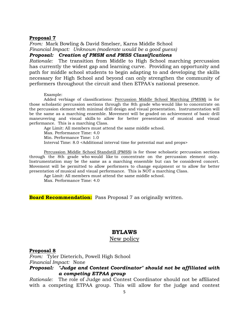#### **Proposal 7**

*From:* Mark Bowling & David Smelser, Karns Middle School *Financial Impact: Unknown (moderate would be a good guess) Proposal: Creation of PMSM and PMSS Classifications*

*Rationale:* The transition from Middle to High School marching percussion has currently the widest gap and learning curve. Providing an opportunity and path for middle school students to begin adapting to and developing the skills necessary for High School and beyond can only strengthen the community of performers throughout the circuit and then ETPAA's national presence.

Example:

Added verbiage of classifications: Percussion Middle School Marching (PMSM) is for those scholastic percussion sections through the 8th grade who would like to concentrate on the percussion element with minimal drill design and visual presentation. Instrumentation will be the same as a marching ensemble. Movement will be graded on achievement of basic drill maneuvering and visual skills to allow for better presentation of musical and visual performance. This is a marching Class.

Age Limit: All members must attend the same middle school. Max. Performance Time: 4.0 Min. Performance Time: 1.0 Interval Time: 8.0 <Additional interval time for potential mat and props>

Percussion Middle School Standstill (PMSS) is for those scholastic percussion sections through the 8th grade who would like to concentrate on the percussion element only. Instrumentation may be the same as a marching ensemble but can be considered concert. Movement will be permitted to allow performers to change equipment or to allow for better presentation of musical and visual performance. This is NOT a marching Class.

Age Limit: All members must attend the same middle school.

Max. Performance Time: 4.0

**Board Recommendation:** Pass Proposal 7 as originally written.

#### **BYLAWS**

#### New policy

#### **Proposal 8**

*From:* Tyler Dieterich, Powell High School *Financial Impact:* None

#### *Proposal: "Judge and Contest Coordinator" should not be affiliated with a competing ETPAA group*

*Rationale:* The role of Judge and Contest Coordinator should not be affiliated with a competing ETPAA group. This will allow for the judge and contest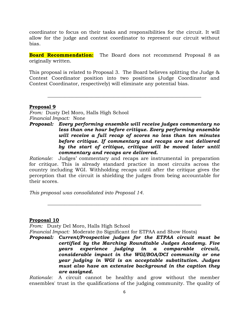coordinator to focus on their tasks and responsibilities for the circuit. It will allow for the judge and contest coordinator to represent our circuit without bias.

**Board Recommendation:** The Board does not recommend Proposal 8 as originally written.

This proposal is related to Proposal 3. The Board believes splitting the Judge & Contest Coordinator position into two positions (Judge Coordinator and Contest Coordinator, respectively) will eliminate any potential bias.

**\_\_\_\_\_\_\_\_\_\_\_\_\_\_\_\_\_\_\_\_\_\_\_\_\_\_\_\_\_\_\_\_\_\_\_\_\_\_\_\_\_\_\_\_\_\_\_\_\_\_\_\_\_\_\_\_\_\_\_\_\_\_\_**

#### **Proposal 9**

*From:* Dusty Del Moro, Halls High School *Financial Impact:* None

*Proposal: Every performing ensemble will receive judges commentary no less than one hour before critique. Every performing ensemble will receive a full recap of scores no less than ten minutes before critique. If commentary and recaps are not delivered by the start of critique, critique will be moved later until commentary and recaps are delivered.*

*Rationale:* Judges' commentary and recaps are instrumental in preparation for critique. This is already standard practice in most circuits across the country including WGI. Withholding recaps until after the critique gives the perception that the circuit is shielding the judges from being accountable for their scores.

**\_\_\_\_\_\_\_\_\_\_\_\_\_\_\_\_\_\_\_\_\_\_\_\_\_\_\_\_\_\_\_\_\_\_\_\_\_\_\_\_\_\_\_\_\_\_\_\_\_\_\_\_\_\_\_\_\_\_\_\_\_\_\_**

*This proposal was consolidated into Proposal 14.* 

#### **Proposal 10**

*From:* Dusty Del Moro, Halls High School

*Financial Impact:* Moderate (to Significant for ETPAA and Show Hosts)

*Proposal: Current/Prospective judges for the ETPAA circuit must be certified by the Marching Roundtable Judges Academy. Five years experience judging in a comparable circuit, considerable impact in the WGI/BOA/DCI community or one year judging in WGI is an acceptable substitution. Judges must also have an extensive background in the caption they are assigned.*

*Rationale:* A circuit cannot be healthy and grow without the member ensembles' trust in the qualifications of the judging community. The quality of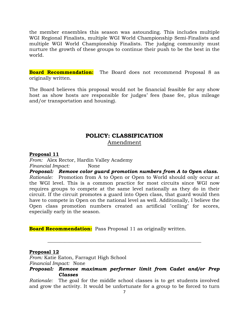the member ensembles this season was astounding. This includes multiple WGI Regional Finalists, multiple WGI World Championship Semi-Finalists and multiple WGI World Championship Finalists. The judging community must nurture the growth of these groups to continue their push to be the best in the world.

**Board Recommendation:** The Board does not recommend Proposal 8 as originally written.

The Board believes this proposal would not be financial feasible for any show host as show hosts are responsible for judges' fees (base fee, plus mileage and/or transportation and housing).

## **POLICY: CLASSIFICATION** Amendment

#### **Proposal 11**

*From:* Alex Rector, Hardin Valley Academy *Financial Impact:* None

*Proposal: Remove color guard promotion numbers from A to Open class. Rationale:* Promotion from A to Open or Open to World should only occur at the WGI level. This is a common practice for most circuits since WGI now requires groups to compete at the same level nationally as they do in their circuit. If the circuit promotes a guard into Open class, that guard would then have to compete in Open on the national level as well. Additionally, I believe the Open class promotion numbers created an artificial "ceiling" for scores, especially early in the season.

**Board Recommendation:** Pass Proposal 11 as originally written.

#### **Proposal 12**

*From:* Katie Eaton, Farragut High School *Financial Impact:* None

#### *Proposal: Remove maximum performer limit from Cadet and/or Prep Classes*

**\_\_\_\_\_\_\_\_\_\_\_\_\_\_\_\_\_\_\_\_\_\_\_\_\_\_\_\_\_\_\_\_\_\_\_\_\_\_\_\_\_\_\_\_\_\_\_\_\_\_\_\_\_\_\_\_\_\_\_\_\_\_\_**

*Rationale:* The goal for the middle school classes is to get students involved and grow the activity. It would be unfortunate for a group to be forced to turn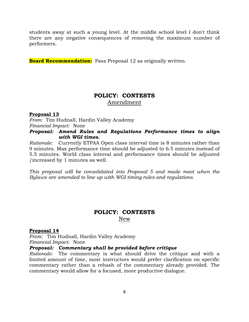students away at such a young level. At the middle school level I don't think there are any negative consequences of removing the maximum number of performers.

**Board Recommendation:** Pass Proposal 12 as originally written.

# **POLICY: CONTESTS** Amendment

#### **Proposal 13**

*From:* Tim Hudnall, Hardin Valley Academy *Financial Impact:* None

#### *Proposal: Amend Rules and Regulations Performance times to align with WGI times.*

*Rationale:* Currently ETPAA Open class interval time is 8 minutes rather than 9 minutes. Max performance time should be adjusted to 6.5 minutes instead of 5.5 minutes. World class interval and performance times should be adjusted /increased by 1 minutes as well.

*This proposal will be consolidated into Proposal 5 and made moot when the Bylaws are amended to line up with WGI timing rules and regulations.* 

#### **POLICY: CONTESTS** New

#### **Proposal 14**

*From:* Tim Hudnall, Hardin Valley Academy *Financial Impact:* None

# *Proposal: Commentary shall be provided before critique*

*Rationale:* The commentary is what should drive the critique and with a limited amount of time, most instructors would prefer clarification on specific commentary rather than a rehash of the commentary already provided. The commentary would allow for a focused, more productive dialogue.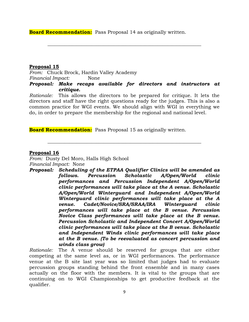**Board Recommendation:** Pass Proposal 14 as originally written.

#### **Proposal 15**

*From:* Chuck Brock, Hardin Valley Academy *Financial Impact:* None *Proposal: Make recaps available for directors and instructors at critique.*

**\_\_\_\_\_\_\_\_\_\_\_\_\_\_\_\_\_\_\_\_\_\_\_\_\_\_\_\_\_\_\_\_\_\_\_\_\_\_\_\_\_\_\_\_\_\_\_\_\_\_\_\_\_\_\_\_\_\_\_\_\_\_\_**

*Rationale:* This allows the directors to be prepared for critique. It lets the directors and staff have the right questions ready for the judges. This is also a common practice for WGI events. We should align with WGI in everything we do, in order to prepare the membership for the regional and national level.

**\_\_\_\_\_\_\_\_\_\_\_\_\_\_\_\_\_\_\_\_\_\_\_\_\_\_\_\_\_\_\_\_\_\_\_\_\_\_\_\_\_\_\_\_\_\_\_\_\_\_\_\_\_\_\_\_\_\_\_\_\_\_\_**

**Board Recommendation:** Pass Proposal 15 as originally written.

#### **Proposal 16**

*From:* Dusty Del Moro, Halls High School *Financial Impact:* None

*Proposal: Scheduling of the ETPAA Qualifier Clinics will be amended as follows. Percussion Scholastic A/Open/World clinic performances and Percussion Independent A/Open/World clinic performances will take place at the A venue. Scholastic A/Open/World Winterguard and Independent A/Open/World Winterguard clinic performances will take place at the A venue. Cadet/Novice/SRA/SRAA/IRA Winterguard clinic performances will take place at the B venue. Percussion Novice Class performances will take place at the B venue. Percussion Scholastic and Independent Concert A/Open/World clinic performances will take place at the B venue. Scholastic and Independent Winds clinic performances will take place at the B venue. (To be reevaluated as concert percussion and winds class grow)*

*Rationale:* The A venue should be reserved for groups that are either competing at the same level as, or in WGI performances. The performance venue at the B site last year was so limited that judges had to evaluate percussion groups standing behind the front ensemble and in many cases actually on the floor with the members. It is vital to the groups that are continuing on to WGI Championships to get productive feedback at the qualifier.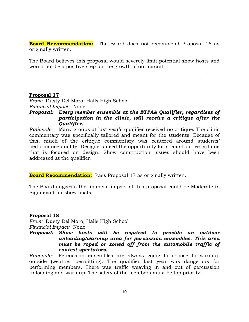**Board Recommendation:** The Board does not recommend Proposal 16 as originally written.

The Board believes this proposal would severely limit potential show hosts and would not be a positive step for the growth of our circuit.

**\_\_\_\_\_\_\_\_\_\_\_\_\_\_\_\_\_\_\_\_\_\_\_\_\_\_\_\_\_\_\_\_\_\_\_\_\_\_\_\_\_\_\_\_\_\_\_\_\_\_\_\_\_\_\_\_\_\_\_\_\_\_\_**

#### **Proposal 17**

*From:* Dusty Del Moro, Halls High School *Financial Impact:* None

#### *Proposal: Every member ensemble at the ETPAA Qualifier, regardless of participation in the clinic, will receive a critique after the Qualifier.*

*Rationale:* Many groups at last year's qualifier received no critique. The clinic commentary was specifically tailored and meant for the students. Because of this, much of the critique commentary was centered around students' performance quality. Designers need the opportunity for a constructive critique that is focused on design. Show construction issues should have been addressed at the qualifier.

**Board Recommendation:** Pass Proposal 17 as originally written.

The Board suggests the financial impact of this proposal could be Moderate to Significant for show hosts.

**\_\_\_\_\_\_\_\_\_\_\_\_\_\_\_\_\_\_\_\_\_\_\_\_\_\_\_\_\_\_\_\_\_\_\_\_\_\_\_\_\_\_\_\_\_\_\_\_\_\_\_\_\_\_\_\_\_\_\_\_\_\_\_**

#### **Proposal 18**

*From:* Dusty Del Moro, Halls High School *Financial Impact:* None

*Proposal: Show hosts will be required to provide an outdoor unloading/warmup area for percussion ensembles. This area must be roped or zoned off from the automobile traffic of contest spectators.*

*Rationale:* Percussion ensembles are always going to choose to warmup outside (weather permitting). The qualifier last year was dangerous for performing members. There was traffic weaving in and out of percussion unloading and warmup. The safety of the members must be top priority.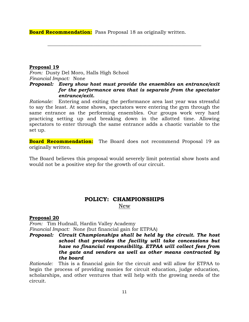**Board Recommendation:** Pass Proposal 18 as originally written.

#### **Proposal 19**

*From:* Dusty Del Moro, Halls High School *Financial Impact:* None

#### *Proposal: Every show host must provide the ensembles an entrance/exit for the performance area that is separate from the spectator entrance/exit.*

**\_\_\_\_\_\_\_\_\_\_\_\_\_\_\_\_\_\_\_\_\_\_\_\_\_\_\_\_\_\_\_\_\_\_\_\_\_\_\_\_\_\_\_\_\_\_\_\_\_\_\_\_\_\_\_\_\_\_\_\_\_\_\_**

*Rationale:* Entering and exiting the performance area last year was stressful to say the least. At some shows, spectators were entering the gym through the same entrance as the performing ensembles. Our groups work very hard practicing setting up and breaking down in the allotted time. Allowing spectators to enter through the same entrance adds a chaotic variable to the set up.

**Board Recommendation:** The Board does not recommend Proposal 19 as originally written.

The Board believes this proposal would severely limit potential show hosts and would not be a positive step for the growth of our circuit.

# **POLICY: CHAMPIONSHIPS** New

#### **Proposal 20**

*From:* Tim Hudnall, Hardin Valley Academy *Financial Impact:* None (but financial gain for ETPAA)

#### *Proposal: Circuit Championships shall be held by the circuit. The host school that provides the facility will take concessions but have no financial responsibility. ETPAA will collect fees from the gate and vendors as well as other means contracted by the board*

*Rationale:* This is a financial gain for the circuit and will allow for ETPAA to begin the process of providing monies for circuit education, judge education, scholarships, and other ventures that will help with the growing needs of the circuit.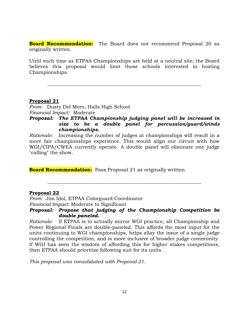**Board Recommendation:** The Board does not recommend Proposal 20 as originally written.

Until such time as ETPAA Championships are held at a neutral site, the Board believes this proposal would limit those schools interested in hosting Championships.

**\_\_\_\_\_\_\_\_\_\_\_\_\_\_\_\_\_\_\_\_\_\_\_\_\_\_\_\_\_\_\_\_\_\_\_\_\_\_\_\_\_\_\_\_\_\_\_\_\_\_\_\_\_\_\_\_\_\_\_\_\_\_\_**

#### **Proposal 21**

*From:* Dusty Del Moro, Halls High School *Financial Impact:* Moderate

*Proposal: The ETPAA Championship judging panel will be increased in size to be a double panel for percussion/guard/winds championships.*

*Rationale:* Increasing the number of judges at championships will result in a more fair championships experience. This would align our circuit with how WGI/CIPA/CWEA currently operate. A double panel will eliminate one judge "calling" the show.

**Board Recommendation:** Pass Proposal 21 as originally written.

#### **Proposal 22**

*From:* Jim Idol, ETPAA Colorguard Coordinator *Financial Impact:* Moderate to Significant

#### *Proposal: Propose that judging of the Championship Competition be double paneled.*

**\_\_\_\_\_\_\_\_\_\_\_\_\_\_\_\_\_\_\_\_\_\_\_\_\_\_\_\_\_\_\_\_\_\_\_\_\_\_\_\_\_\_\_\_\_\_\_\_\_\_\_\_\_\_\_\_\_\_\_\_\_\_\_**

*Rationale:* If ETPAA is to actually mirror WGI practice, all Championship and Power Regional Finals are double-paneled. This affords the most input for the units continuing to WGI championships, helps allay the issue of a single judge controlling the competition, and is more inclusive of broader judge community. If WGI has seen the wisdom of affording this for higher stakes competitions, then ETPAA should prioritize following suit for its units.

*This proposal was consolidated with Proposal 21*.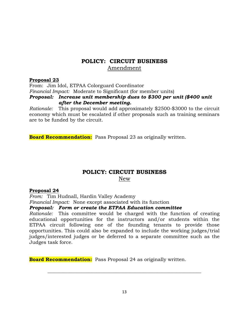# **POLICY: CIRCUIT BUSINESS** Amendment

#### **Proposal 23**

From: Jim Idol, ETPAA Colorguard Coordinator *Financial Impact:* Moderate to Significant (for member units) *Proposal: Increase unit membership dues to \$300 per unit (\$400 unit after the December meeting.*

*Rationale:* This proposal would add approximately \$2500-\$3000 to the circuit economy which must be escalated if other proposals such as training seminars are to be funded by the circuit.

**Board Recommendation:** Pass Proposal 23 as originally written.

### **POLICY: CIRCUIT BUSINESS** New

#### **Proposal 24**

*From:* Tim Hudnall, Hardin Valley Academy

*Financial Impact:* None except associated with its function

*Proposal: Form or create the ETPAA Education committee*

*Rationale:* This committee would be charged with the function of creating educational opportunities for the instructors and/or students within the ETPAA circuit following one of the founding tenants to provide those opportunities. This could also be expanded to include the working judges/trial judges/interested judges or be deferred to a separate committee such as the Judges task force.

**Board Recommendation:** Pass Proposal 24 as originally written.

**\_\_\_\_\_\_\_\_\_\_\_\_\_\_\_\_\_\_\_\_\_\_\_\_\_\_\_\_\_\_\_\_\_\_\_\_\_\_\_\_\_\_\_\_\_\_\_\_\_\_\_\_\_\_\_\_\_\_\_\_\_\_\_**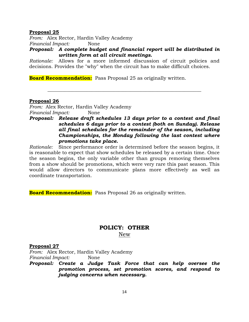#### **Proposal 25**

*From:* Alex Rector, Hardin Valley Academy *Financial Impact:* None

*Proposal: A complete budget and financial report will be distributed in written form at all circuit meetings.*

*Rationale:* Allows for a more informed discussion of circuit policies and decisions. Provides the "why" when the circuit has to make difficult choices.

**\_\_\_\_\_\_\_\_\_\_\_\_\_\_\_\_\_\_\_\_\_\_\_\_\_\_\_\_\_\_\_\_\_\_\_\_\_\_\_\_\_\_\_\_\_\_\_\_\_\_\_\_\_\_\_\_\_\_\_\_\_\_\_**

**Board Recommendation:** Pass Proposal 25 as originally written.

#### **Proposal 26**

*From:* Alex Rector, Hardin Valley Academy *Financial Impact:* None

#### *Proposal: Release draft schedules 13 days prior to a contest and final schedules 6 days prior to a contest (both on Sunday). Release all final schedules for the remainder of the season, including Championships, the Monday following the last contest where promotions take place.*

*Rationale:* Since performance order is determined before the season begins, it is reasonable to expect that show schedules be released by a certain time. Once the season begins, the only variable other than groups removing themselves from a show should be promotions, which were very rare this past season. This would allow directors to communicate plans more effectively as well as coordinate transportation.

**Board Recommendation:** Pass Proposal 26 as originally written.

# **POLICY: OTHER** New

#### **Proposal 27**

*From:* Alex Rector, Hardin Valley Academy *Financial Impact:* None

*Proposal: Create a Judge Task Force that can help oversee the promotion process, set promotion scores, and respond to judging concerns when necessary.*